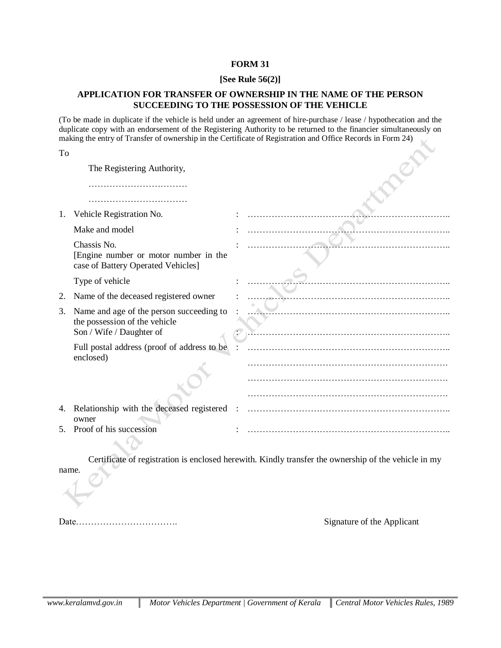## **FORM 31**

## **[See Rule 56(2)]**

## **APPLICATION FOR TRANSFER OF OWNERSHIP IN THE NAME OF THE PERSON SUCCEEDING TO THE POSSESSION OF THE VEHICLE**

(To be made in duplicate if the vehicle is held under an agreement of hire-purchase / lease / hypothecation and the duplicate copy with an endorsement of the Registering Authority to be returned to the financier simultaneously on making the entry of Transfer of ownership in the Certificate of Registration and Office Records in Form 24)

| To  |                                                                                                       |  |
|-----|-------------------------------------------------------------------------------------------------------|--|
|     | The Registering Authority,                                                                            |  |
|     |                                                                                                       |  |
|     |                                                                                                       |  |
| 1.  | Vehicle Registration No.                                                                              |  |
|     | Make and model                                                                                        |  |
|     | Chassis No.<br>[Engine number or motor number in the<br>case of Battery Operated Vehicles]            |  |
|     | Type of vehicle                                                                                       |  |
| 2.  | Name of the deceased registered owner                                                                 |  |
| 3.  | Name and age of the person succeeding to<br>the possession of the vehicle<br>Son / Wife / Daughter of |  |
|     | Full postal address (proof of address to be<br>enclosed)                                              |  |
|     |                                                                                                       |  |
|     |                                                                                                       |  |
|     |                                                                                                       |  |
| 4.  | Relationship with the deceased registered<br>owner                                                    |  |
| .5. | Proof of his succession                                                                               |  |

Certificate of registration is enclosed herewith. Kindly transfer the ownership of the vehicle in my

name.

Date……………………………. Signature of the Applicant